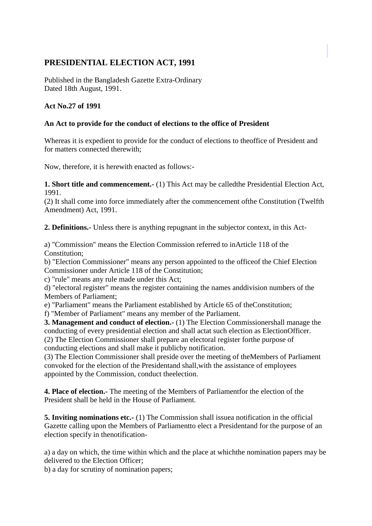## **PRESIDENTIAL ELECTION ACT, 1991**

Published in the Bangladesh Gazette Extra-Ordinary Dated 18th August, 1991.

## **Act No.27 of 1991**

## **An Act to provide for the conduct of elections to the office of President**

Whereas it is expedient to provide for the conduct of elections to theoffice of President and for matters connected therewith;

Now, therefore, it is herewith enacted as follows:-

**1. Short title and commencement.-** (1) This Act may be calledthe Presidential Election Act, 1991.

(2) It shall come into force immediately after the commencement ofthe Constitution (Twelfth Amendment) Act, 1991.

**2. Definitions.-** Unless there is anything repugnant in the subjector context, in this Act-

a) "Commission" means the Election Commission referred to inArticle 118 of the Constitution;

b) "Election Commissioner" means any person appointed to the officeof the Chief Election Commissioner under Article 118 of the Constitution;

c) "rule" means any rule made under this Act;

d) "electoral register" means the register containing the names anddivision numbers of the Members of Parliament;

e) "Parliament" means the Parliament established by Article 65 of theConstitution;

f) "Member of Parliament" means any member of the Parliament.

**3. Management and conduct of election.-** (1) The Election Commissionershall manage the conducting of every presidential election and shall actat such election as ElectionOfficer. (2) The Election Commissioner shall prepare an electoral register forthe purpose of conducting elections and shall make it publicby notification.

(3) The Election Commissioner shall preside over the meeting of theMembers of Parliament convoked for the election of the Presidentand shall,with the assistance of employees appointed by the Commission, conduct theelection.

**4. Place of election.-** The meeting of the Members of Parliamentfor the election of the President shall be held in the House of Parliament.

**5. Inviting nominations etc.-** (1) The Commission shall issuea notification in the official Gazette calling upon the Members of Parliamentto elect a Presidentand for the purpose of an election specify in thenotification-

a) a day on which, the time within which and the place at whichthe nomination papers may be delivered to the Election Officer;

b) a day for scrutiny of nomination papers;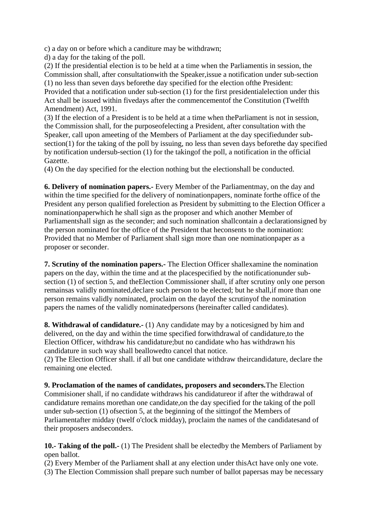c) a day on or before which a canditure may be withdrawn;

d) a day for the taking of the poll.

(2) If the presidential election is to be held at a time when the Parliamentis in session, the Commission shall, after consultationwith the Speaker,issue a notification under sub-section (1) no less than seven days beforethe day specified for the election ofthe President: Provided that a notification under sub-section (1) for the first presidentialelection under this Act shall be issued within fivedays after the commencementof the Constitution (Twelfth Amendment) Act, 1991.

(3) If the election of a President is to be held at a time when theParliament is not in session, the Commission shall, for the purposeofelecting a President, after consultation with the Speaker, call upon ameeting of the Members of Parliament at the day specifiedunder subsection(1) for the taking of the poll by issuing, no less than seven days beforethe day specified by notification undersub-section (1) for the takingof the poll, a notification in the official Gazette.

(4) On the day specified for the election nothing but the electionshall be conducted.

**6. Delivery of nomination papers.-** Every Member of the Parliamentmay, on the day and within the time specified for the delivery of nominationpapers, nominate forthe office of the President any person qualified forelection as President by submitting to the Election Officer a nominationpaperwhich he shall sign as the proposer and which another Member of Parliamentshall sign as the seconder; and such nomination shallcontain a declarationsigned by the person nominated for the office of the President that heconsents to the nomination: Provided that no Member of Parliament shall sign more than one nominationpaper as a proposer or seconder.

**7. Scrutiny of the nomination papers.-** The Election Officer shallexamine the nomination papers on the day, within the time and at the placespecified by the notificationunder subsection (1) of section 5, and theElection Commissioner shall, if after scrutiny only one person remainsas validly nominated,declare such person to be elected; but he shall,if more than one person remains validly nominated, proclaim on the dayof the scrutinyof the nomination papers the names of the validly nominatedpersons (hereinafter called candidates).

**8. Withdrawal of candidature.-** (1) Any candidate may by a noticesigned by him and delivered, on the day and within the time specified forwithdrawal of candidature,to the Election Officer, withdraw his candidature;but no candidate who has withdrawn his candidature in such way shall beallowedto cancel that notice.

(2) The Election Officer shall. if all but one candidate withdraw theircandidature, declare the remaining one elected.

**9. Proclamation of the names of candidates, proposers and seconders.**The Election Commisioner shall, if no candidate withdraws his candidatureor if after the withdrawal of candidature remains morethan one candidate,on the day specified for the taking of the poll under sub-section (1) ofsection 5, at the beginning of the sittingof the Members of Parliamentafter midday (twelf o'clock midday), proclaim the names of the candidatesand of their proposers andseconders.

**10.- Taking of the poll.-** (1) The President shall be electedby the Members of Parliament by open ballot.

(2) Every Member of the Parliament shall at any election under thisAct have only one vote.

(3) The Election Commission shall prepare such number of ballot papersas may be necessary